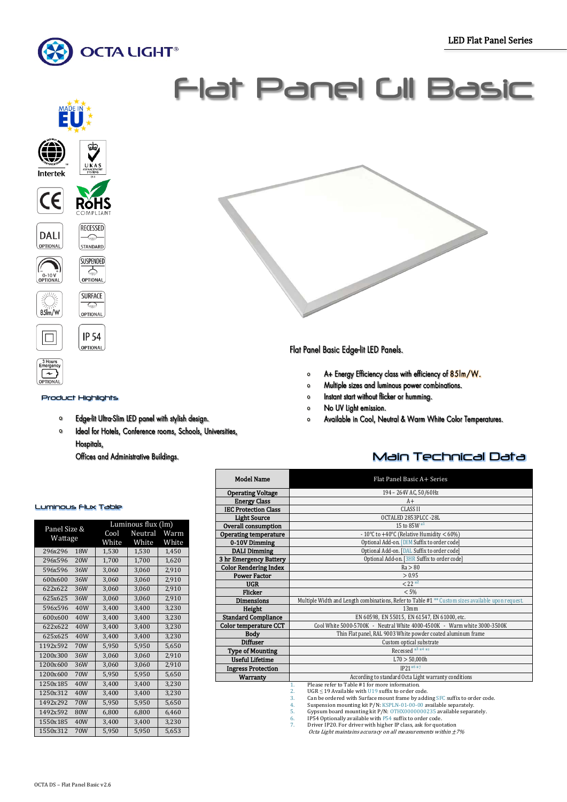Ī



**Intertek** 

 $\epsilon$ 

**DALI** OPTIONAL

\ −<br>0-10 V<br>OPTIONAL

 $\Box$ 

「≁

PTIONAL



#### Product Highlights

 $\frac{1}{2}$ 

- Edge-lit Ultra-Slim LED panel with stylish design.  $\circ$
- $\bullet$ Ideal for Hotels, Conference rooms, Schools, Universities, Hospitals,

Offices and Administrative Buildings.

## Luminous Flux Table

|                 | Luminous flux (lm) |         |       |  |
|-----------------|--------------------|---------|-------|--|
| Panel Size &    | Cool               | Neutral | Warm  |  |
| Wattage         | White              | White   | White |  |
| 296x296<br>18W  | 1,530              | 1,530   | 1,450 |  |
| 296x596<br>20W  | 1,700              | 1,700   | 1,620 |  |
| 596x596<br>36W  | 3,060              | 3,060   | 2,910 |  |
| 600x600<br>36W  | 3,060              | 3,060   | 2,910 |  |
| 622x622<br>36W  | 3.060              | 3,060   | 2,910 |  |
| 625x625<br>36W  | 3.060              | 3.060   | 2.910 |  |
| 596x596<br>40W  | 3,400              | 3,400   | 3,230 |  |
| 40W<br>600x600  | 3.400              | 3,400   | 3,230 |  |
| 40W<br>622x622  | 3,400              | 3,400   | 3,230 |  |
| 625x625<br>40W  | 3.400              | 3.400   | 3,230 |  |
| 1192x592<br>70W | 5,950              | 5,950   | 5,650 |  |
| 1200x300<br>36W | 3,060              | 3,060   | 2,910 |  |
| 36W<br>1200x600 | 3.060              | 3,060   | 2,910 |  |
| 1200x600<br>70W | 5,950              | 5,950   | 5,650 |  |
| 1250x185<br>40W | 3,400              | 3,400   | 3,230 |  |
| 1250x312<br>40W | 3,400              | 3,400   | 3,230 |  |
| 1492x292<br>70W | 5.950              | 5.950   | 5,650 |  |
| 1492x592<br>80W | 6,800              | 6,800   | 6,460 |  |
| 1550x185<br>40W | 3,400              | 3,400   | 3,230 |  |
| 1550x312<br>70W | 5,950              | 5,950   | 5,653 |  |

# Flat Panel GII Basic



Flat Panel Basic Edge-lit LED Panels.

- A+ Energy Efficiency class with efficiency of 85Im/W.  $\bullet$
- $\circ$ Multiple sizes and luminous power combinations.
- Instant start without flicker or humming.  $\Omega$
- No UV Light emission.  $\circ$
- Available in Cool, Neutral & Warm White Color Temperatures.  $\circ$

## Main Technical Data

| <b>Model Name</b>            | Flat Panel Basic A+ Series                                                                                   |  |  |  |  |  |
|------------------------------|--------------------------------------------------------------------------------------------------------------|--|--|--|--|--|
| <b>Operating Voltage</b>     | 194 - 264V AC, 50/60Hz                                                                                       |  |  |  |  |  |
| <b>Energy Class</b>          | $A+$                                                                                                         |  |  |  |  |  |
| <b>IEC Protection Class</b>  | <b>CLASS II</b>                                                                                              |  |  |  |  |  |
| <b>Light Source</b>          | OCTALED 2853PLCC-28L                                                                                         |  |  |  |  |  |
| Overall consumption          | 15 to 85W *1                                                                                                 |  |  |  |  |  |
| Operating temperature        | - 10°C to +40°C (Relative Humidity $< 60\%$ )                                                                |  |  |  |  |  |
| 0-10V Dimming                | Optional Add-on. [DIM Suffix to order code]                                                                  |  |  |  |  |  |
| <b>DALI Dimming</b>          | Optional Add-on. [DAL Suffix to order code]                                                                  |  |  |  |  |  |
| 3 hr Emergency Battery       | Optional Add-on. [3HR Suffix to order code]                                                                  |  |  |  |  |  |
| <b>Color Rendering Index</b> | Ra > 80                                                                                                      |  |  |  |  |  |
| <b>Power Factor</b>          | > 0.95                                                                                                       |  |  |  |  |  |
| <b>UGR</b>                   | $< 22 *^2$                                                                                                   |  |  |  |  |  |
| Flicker                      | < 5%                                                                                                         |  |  |  |  |  |
| <b>Dimensions</b>            | Multiple Width and Length combinations, Refer to Table #1 <sup>**</sup> Custom sizes available upon request. |  |  |  |  |  |
| Height                       | 13mm                                                                                                         |  |  |  |  |  |
| <b>Standard Compliance</b>   | EN 60598, EN 55015, EN 61547, EN 61000, etc.                                                                 |  |  |  |  |  |
| <b>Color temperature CCT</b> | Cool White 5000-5700K - Neutral White 4000-4500K - Warm white 3000-3500K                                     |  |  |  |  |  |
| <b>Body</b>                  | Thin Flat panel, RAL 9003 White powder coated aluminum frame                                                 |  |  |  |  |  |
| <b>Diffuser</b>              | Custom optical substrate                                                                                     |  |  |  |  |  |
| Type of Mounting             | Recessed $*3**4**5$                                                                                          |  |  |  |  |  |
| <b>Useful Lifetime</b>       | L70 > 50,000h                                                                                                |  |  |  |  |  |
| <b>Ingress Protection</b>    | $IP21^{*6*7}$                                                                                                |  |  |  |  |  |
| <b>Warranty</b>              | According to standard Octa Light warranty conditions                                                         |  |  |  |  |  |
|                              | Please refer to Table #1 for more information.<br>1.                                                         |  |  |  |  |  |
|                              | $UGR \le 19$ Available with $U19$ suffix to order code.<br>$\overline{2}$ .                                  |  |  |  |  |  |
|                              | 3<br>Can be ordered with Surface mount frame by adding SEC suffix to order code                              |  |  |  |  |  |

3. Can be ordered with Surface mount frame by adding SFC suffix to order code. 4. Suspension mounting kit P/N: KSPLN-01-00-00 available separately. 5. Gypsum board mounting kit P/N: OTHX0000000235 available separately.

6. IP54 Optionally available with P54 suffix to order code. 7. Driver IP20. For driver with higher IP class, ask for quotation

Octa Light maintains accuracy on all measurements within  $\pm 7\%$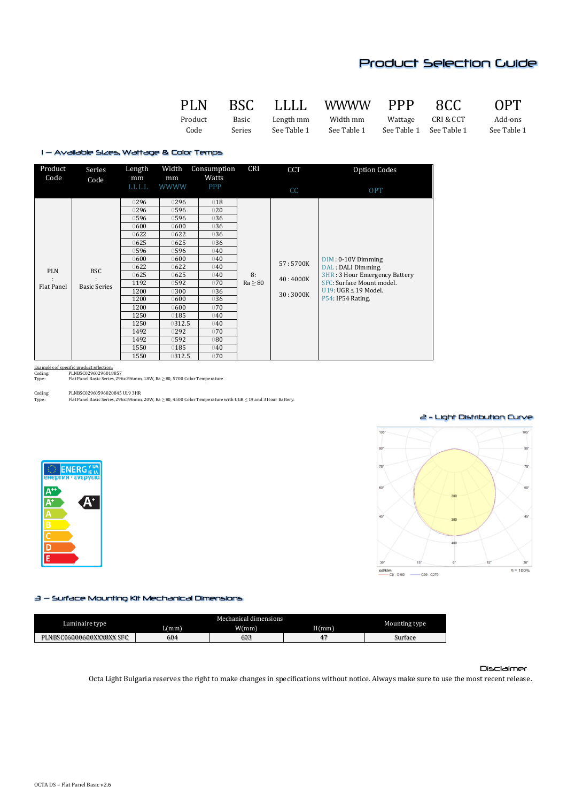## Product Selection Guide

PLN BSC LLLL WWWW PPP 8CC OPT

Product Basic Length mm Width mm Wattage CRI & CCT Add-ons Code Series See Table 1 See Table 1 See Table 1 See Table 1 See Table 1

1 – Available Sizes, Wattage & Color Temps

| Product<br>Code          | Series<br>Code                               | Length<br>mm<br>LLLL                                                                                                                                      | Width<br>mm<br><b>WWWW</b>                                                                                                                                  | Consumption<br>Watts<br>PPP                                                                                                              | CRI                | CCT<br>cc                        | Option Codes<br><b>OPT</b>                                                                                                                                  |
|--------------------------|----------------------------------------------|-----------------------------------------------------------------------------------------------------------------------------------------------------------|-------------------------------------------------------------------------------------------------------------------------------------------------------------|------------------------------------------------------------------------------------------------------------------------------------------|--------------------|----------------------------------|-------------------------------------------------------------------------------------------------------------------------------------------------------------|
| <b>PLN</b><br>Flat Panel | <b>BSC</b><br>$\cdot$<br><b>Basic Series</b> | 0296<br>0296<br>0596<br>0600<br>0622<br>625<br>0596<br>0600<br>622<br>625<br>1192<br>1200<br>1200<br>1200<br>1250<br>1250<br>1492<br>1492<br>1550<br>1550 | 0296<br>0596<br>0596<br>0600<br>622<br>625<br>0596<br>600<br>622<br>625<br>0592<br>0300<br>0600<br>0600<br>0185<br>0312.5<br>0292<br>0592<br>0185<br>0312.5 | 018<br>020<br>036<br>036<br>036<br>036<br>040<br>040<br>040<br>040<br>070<br>036<br>036<br>070<br>040<br>040<br>070<br>080<br>040<br>070 | 8:<br>$Ra \geq 80$ | 57:5700K<br>40:4000K<br>30:3000K | $DIM: 0-10V$ Dimming<br>DAL : DALI Dimming.<br>3HR: 3 Hour Emergency Battery<br>SFC: Surface Mount model.<br>U19: UGR $\leq$ 19 Model.<br>P54: IP54 Rating. |

Examples of specific product selection: Coding: PLNBSC02960296018857

Examples of specific product series.<br>Coding:<br>Type: Flat Panel Basic Series, 296x296mm, 18W, Ra ≥ 80, 5700 Color Temperature

Coding: PLNBSC02960596020845 U19 3HR<br>Type: Flat Panel Basic Series, 296x596mm Type: Flat Panel Basic Series, 296x596mm, 20W, Ra ≥ 80, 4500 Color Temperature with UGR ≤ 19 and 3 Hour Battery.





2 - Light Distribution Curve

### 3 – Surface Mounting Kit Mechanical Dimensions

| Luminaire type                |      |      |      |               |
|-------------------------------|------|------|------|---------------|
|                               | L(mm | W/mm | H/mm | Mounting type |
| LNBSC06000600XXX8XX SFC<br>DĪ | 604  | 603  |      | Surface       |

### Disclaimer

Octa Light Bulgaria reserves the right to make changes in specifications without notice. Always make sure to use the most recent release.